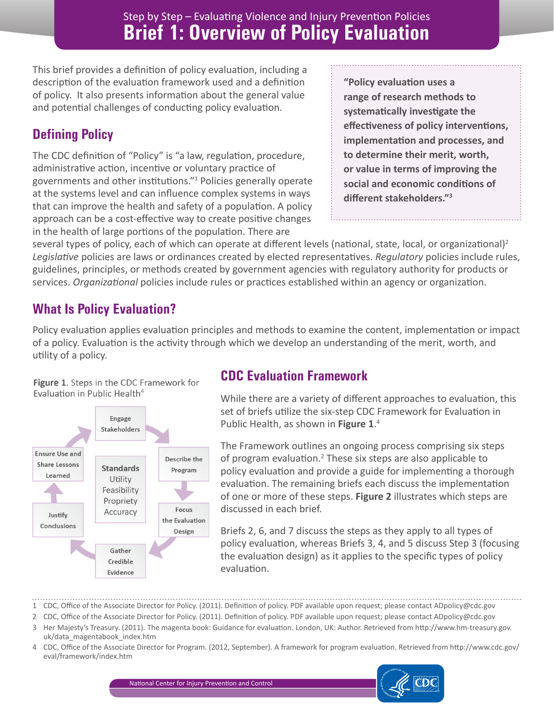This brief provides a definition of policy evaluation, including a description of the evaluation framework used and a definition of policy. It also presents information about the general value and potential challenges of conducting policy evaluation.

# **Defining Policy**

The CDC definition of "Policy" is "a law, regulation, procedure, administrative action, incentive or voluntary practice of governments and other institutions."<sup>1</sup> Policies generally operate at the systems level and can influence complex systems in ways that can improve the health and safety of a population. A policy approach can be a cost-effective way to create positive changes in the health of large portions of the population. There are

**"Policy evaluation uses a range of research methods to systematically investigate the effectiveness of policy interventions, implementation and processes, and to determine their merit, worth, or value in terms of improving the social and economic conditions of different stakeholders."<sup>3</sup>**

several types of policy, each of which can operate at different levels (national, state, local, or organizational)<sup>2</sup> *Legislative* policies are laws or ordinances created by elected representatives. *Regulatory* policies include rules, guidelines, principles, or methods created by government agencies with regulatory authority for products or services. *Organizational* policies include rules or practices established within an agency or organization.

# **What Is Policy Evaluation?**

Policy evaluation applies evaluation principles and methods to examine the content, implementation or impact of a policy. Evaluation is the activity through which we develop an understanding of the merit, worth, and utility of a policy.





## **CDC Evaluation Framework**

While there are a variety of different approaches to evaluation, this set of briefs utilize the six-step CDC Framework for Evaluation in Public Health, as shown in **Figure 1**. 4

The Framework outlines an ongoing process comprising six steps of program evaluation.<sup>2</sup> These six steps are also applicable to policy evaluation and provide a guide for implementing a thorough evaluation. The remaining briefs each discuss the implementation of one or more of these steps. **Figure 2** illustrates which steps are discussed in each brief.

Briefs 2, 6, and 7 discuss the steps as they apply to all types of policy evaluation, whereas Briefs 3, 4, and 5 discuss Step 3 (focusing the evaluation design) as it applies to the specific types of policy evaluation.

1 CDC, Office of the Associate Director for Policy. (2011). Definition of policy. PDF available upon request; please contact ADpolicy@cdc.gov

- 2 CDC, Office of the Associate Director for Policy. (2011). Definition of policy. PDF available upon request; please contact ADpolicy@cdc.gov
- 3 Her Majesty's Treasury. (2011). The magenta book: Guidance for evaluation. London, UK: Author. Retrieved from http://www.hm-treasury.gov. uk/data\_magentabook\_index.htm
- 4 CDC, Office of the Associate Director for Program. (2012, September). A framework for program evaluation. Retrieved from http://www.cdc.gov/ eval/framework/index.htm

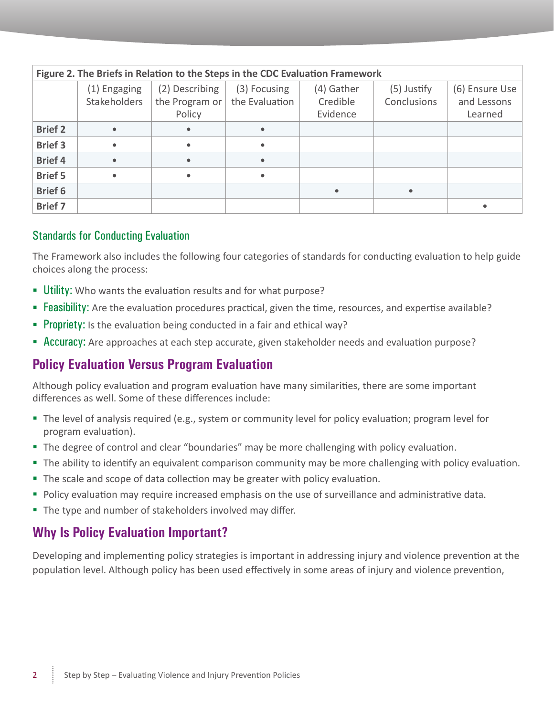| Figure 2. The Briefs in Relation to the Steps in the CDC Evaluation Framework |                                     |                                            |                                |                                    |                              |                                          |  |
|-------------------------------------------------------------------------------|-------------------------------------|--------------------------------------------|--------------------------------|------------------------------------|------------------------------|------------------------------------------|--|
|                                                                               | (1) Engaging<br><b>Stakeholders</b> | (2) Describing<br>the Program or<br>Policy | (3) Focusing<br>the Evaluation | (4) Gather<br>Credible<br>Evidence | $(5)$ Justify<br>Conclusions | (6) Ensure Use<br>and Lessons<br>Learned |  |
| <b>Brief 2</b>                                                                | $\bullet$                           |                                            |                                |                                    |                              |                                          |  |
| <b>Brief 3</b>                                                                | $\bullet$                           | $\bullet$                                  | $\bullet$                      |                                    |                              |                                          |  |
| <b>Brief 4</b>                                                                | $\bullet$                           | $\bullet$                                  |                                |                                    |                              |                                          |  |
| <b>Brief 5</b>                                                                | $\bullet$                           | $\bullet$                                  |                                |                                    |                              |                                          |  |
| <b>Brief 6</b>                                                                |                                     |                                            |                                | $\bullet$                          |                              |                                          |  |
| <b>Brief 7</b>                                                                |                                     |                                            |                                |                                    |                              |                                          |  |

#### Standards for Conducting Evaluation

The Framework also includes the following four categories of standards for conducting evaluation to help guide choices along the process:

- **Utility:** Who wants the evaluation results and for what purpose?
- **Feasibility:** Are the evaluation procedures practical, given the time, resources, and expertise available?
- **Propriety:** Is the evaluation being conducted in a fair and ethical way?
- **Accuracy:** Are approaches at each step accurate, given stakeholder needs and evaluation purpose?

### **Policy Evaluation Versus Program Evaluation**

Although policy evaluation and program evaluation have many similarities, there are some important differences as well. Some of these differences include:

- The level of analysis required (e.g., system or community level for policy evaluation; program level for program evaluation).
- The degree of control and clear "boundaries" may be more challenging with policy evaluation.
- The ability to identify an equivalent comparison community may be more challenging with policy evaluation.
- The scale and scope of data collection may be greater with policy evaluation.
- **Policy evaluation may require increased emphasis on the use of surveillance and administrative data.**
- The type and number of stakeholders involved may differ.

#### **Why Is Policy Evaluation Important?**

Developing and implementing policy strategies is important in addressing injury and violence prevention at the population level. Although policy has been used effectively in some areas of injury and violence prevention,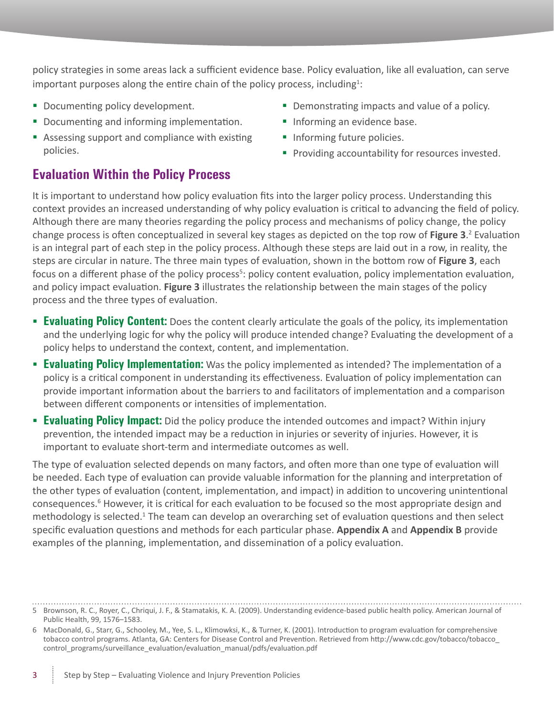policy strategies in some areas lack a sufficient evidence base. Policy evaluation, like all evaluation, can serve important purposes along the entire chain of the policy process, including<sup>1</sup>:

- Documenting policy development.
- Documenting and informing implementation.
- Assessing support and compliance with existing policies.

### **Evaluation Within the Policy Process**

- Demonstrating impacts and value of a policy.
- **Informing an evidence base.**
- **Informing future policies.**
- **Providing accountability for resources invested.**

It is important to understand how policy evaluation fits into the larger policy process. Understanding this context provides an increased understanding of why policy evaluation is critical to advancing the field of policy. Although there are many theories regarding the policy process and mechanisms of policy change, the policy change process is often conceptualized in several key stages as depicted on the top row of **Figure 3**. 2 Evaluation is an integral part of each step in the policy process. Although these steps are laid out in a row, in reality, the steps are circular in nature. The three main types of evaluation, shown in the bottom row of **Figure 3**, each focus on a different phase of the policy process<sup>5</sup>: policy content evaluation, policy implementation evaluation, and policy impact evaluation. **Figure 3** illustrates the relationship between the main stages of the policy process and the three types of evaluation.

- **Evaluating Policy Content:** Does the content clearly articulate the goals of the policy, its implementation and the underlying logic for why the policy will produce intended change? Evaluating the development of a policy helps to understand the context, content, and implementation.
- **Evaluating Policy Implementation:** Was the policy implemented as intended? The implementation of a policy is a critical component in understanding its effectiveness. Evaluation of policy implementation can provide important information about the barriers to and facilitators of implementation and a comparison between different components or intensities of implementation.
- **Evaluating Policy Impact:** Did the policy produce the intended outcomes and impact? Within injury prevention, the intended impact may be a reduction in injuries or severity of injuries. However, it is important to evaluate short-term and intermediate outcomes as well.

The type of evaluation selected depends on many factors, and often more than one type of evaluation will be needed. Each type of evaluation can provide valuable information for the planning and interpretation of the other types of evaluation (content, implementation, and impact) in addition to uncovering unintentional consequences.<sup>6</sup> However, it is critical for each evaluation to be focused so the most appropriate design and methodology is selected.<sup>1</sup> The team can develop an overarching set of evaluation questions and then select specific evaluation questions and methods for each particular phase. **Appendix A** and **Appendix B** provide examples of the planning, implementation, and dissemination of a policy evaluation.

<sup>5</sup> Brownson, R. C., Royer, C., Chriqui, J. F., & Stamatakis, K. A. (2009). Understanding evidence-based public health policy. American Journal of Public Health, 99, 1576–1583.

<sup>6</sup> MacDonald, G., Starr, G., Schooley, M., Yee, S. L., Klimowksi, K., & Turner, K. (2001). Introduction to program evaluation for comprehensive tobacco control programs. Atlanta, GA: Centers for Disease Control and Prevention. Retrieved from http://www.cdc.gov/tobacco/tobacco control\_programs/surveillance\_evaluation/evaluation\_manual/pdfs/evaluation.pdf